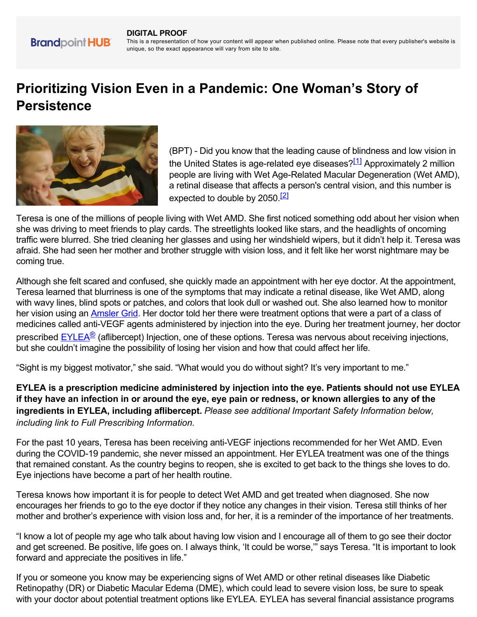#### **DIGITAL PROOF**

**Brandpoint HUB** 

This is a representation of how your content will appear when published online. Please note that every publisher's website is unique, so the exact appearance will vary from site to site.

# **Prioritizing Vision Even in a Pandemic: One Woman's Story of Persistence**



(BPT) - Did you know that the leading cause of blindness and low vision in the United States is age-related eye diseases?<sup>[1]</sup> Approximately 2 million people are living with Wet Age-Related Macular Degeneration (Wet AMD), a retinal disease that affects a person's central vision, and this number is expected to double by  $2050$ .<sup>[2]</sup>

Teresa is one of the millions of people living with Wet AMD. She first noticed something odd about her vision when she was driving to meet friends to play cards. The streetlights looked like stars, and the headlights of oncoming traffic were blurred. She tried cleaning her glasses and using her windshield wipers, but it didn't help it. Teresa was afraid. She had seen her mother and brother struggle with vision loss, and it felt like her worst nightmare may be coming true.

Although she felt scared and confused, she quickly made an appointment with her eye doctor. At the appointment, Teresa learned that blurriness is one of the symptoms that may indicate a retinal disease, like Wet AMD, along with wavy lines, blind spots or patches, and colors that look dull or washed out. She also learned how to monitor her vision using an [Amsler Grid](https://www.eylea.us/content/pdf/patient-amsler-grid.pdf). Her doctor told her there were treatment options that were a part of a class of medicines called anti-VEGF agents administered by injection into the eye. During her treatment journey, her doctor prescribed **EYLEA<sup>®</sup>** (aflibercept) Injection, one of these options. Teresa was nervous about receiving injections, but she couldn't imagine the possibility of losing her vision and how that could affect her life.

"Sight is my biggest motivator," she said. "What would you do without sight? It's very important to me."

**EYLEA is a prescription medicine administered by injection into the eye. Patients should not use EYLEA if they have an infection in or around the eye, eye pain or redness, or known allergies to any of the ingredients in EYLEA, including aflibercept.** *Please see additional Important Safety Information below, including link to Full Prescribing Information.*

For the past 10 years, Teresa has been receiving anti-VEGF injections recommended for her Wet AMD. Even during the COVID-19 pandemic, she never missed an appointment. Her EYLEA treatment was one of the things that remained constant. As the country begins to reopen, she is excited to get back to the things she loves to do. Eye injections have become a part of her health routine.

Teresa knows how important it is for people to detect Wet AMD and get treated when diagnosed. She now encourages her friends to go to the eye doctor if they notice any changes in their vision. Teresa still thinks of her mother and brother's experience with vision loss and, for her, it is a reminder of the importance of her treatments.

"I know a lot of people my age who talk about having low vision and I encourage all of them to go see their doctor and get screened. Be positive, life goes on. I always think, 'It could be worse,'" says Teresa. "It is important to look forward and appreciate the positives in life."

If you or someone you know may be experiencing signs of Wet AMD or other retinal diseases like Diabetic Retinopathy (DR) or Diabetic Macular Edema (DME), which could lead to severe vision loss, be sure to speak with your doctor about potential treatment options like EYLEA. EYLEA has several financial assistance programs